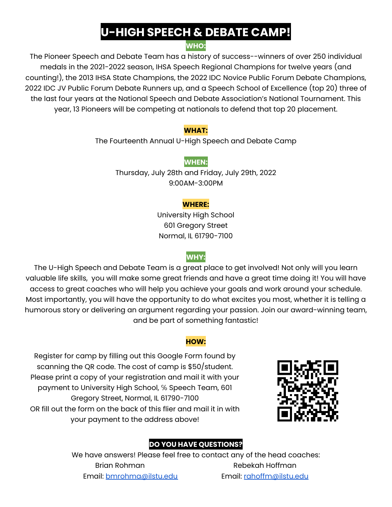## **U-HIGH SPEECH & DEBATE CAMP!**

### **WHO:**

The Pioneer Speech and Debate Team has a history of success--winners of over 250 individual medals in the 2021-2022 season, IHSA Speech Regional Champions for twelve years (and counting!), the 2013 IHSA State Champions, the 2022 IDC Novice Public Forum Debate Champions, 2022 IDC JV Public Forum Debate Runners up, and a Speech School of Excellence (top 20) three of the last four years at the National Speech and Debate Association's National Tournament. This year, 13 Pioneers will be competing at nationals to defend that top 20 placement.

#### **WHAT:**

The Fourteenth Annual U-High Speech and Debate Camp

#### **WHEN:**

Thursday, July 28th and Friday, July 29th, 2022 9:00AM-3:00PM

#### **WHERE:**

University High School 601 Gregory Street Normal, IL 61790-7100

## **WHY:**

The U-High Speech and Debate Team is a great place to get involved! Not only will you learn valuable life skills, you will make some great friends and have a great time doing it! You will have access to great coaches who will help you achieve your goals and work around your schedule. Most importantly, you will have the opportunity to do what excites you most, whether it is telling a humorous story or delivering an argument regarding your passion. Join our award-winning team, and be part of something fantastic!

#### **HOW:**

Register for camp by filling out this Google Form found by scanning the QR code. The cost of camp is \$50/student. Please print a copy of your registration and mail it with your payment to University High School, ℅ Speech Team, 601 Gregory Street, Normal, IL 61790-7100 OR fill out the form on the back of this flier and mail it in with your payment to the address above!



## **DO YOU HAVE QUESTIONS?**

We have answers! Please feel free to contact any of the head coaches: Brian Rohman Rebekah Hoffman Email: [bmrohma@ilstu.edu](mailto:bmrohma@ilstu.edu) Email: [rahoffm@ilstu.edu](mailto:rahoffm@ilstu.edu)